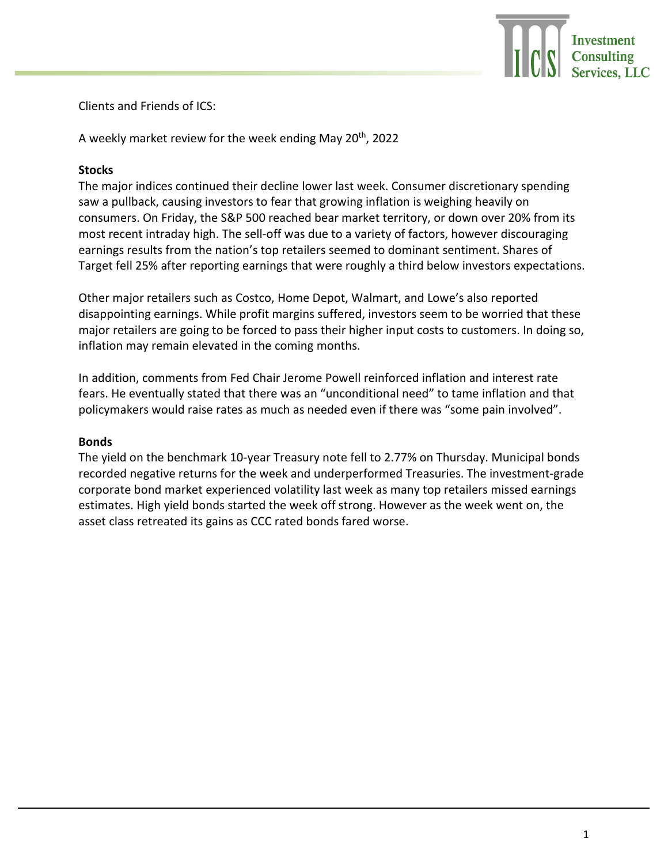

Clients and Friends of ICS:

A weekly market review for the week ending May 20<sup>th</sup>, 2022

## **Stocks**

The major indices continued their decline lower last week. Consumer discretionary spending saw a pullback, causing investors to fear that growing inflation is weighing heavily on consumers. On Friday, the S&P 500 reached bear market territory, or down over 20% from its most recent intraday high. The sell-off was due to a variety of factors, however discouraging earnings results from the nation's top retailers seemed to dominant sentiment. Shares of Target fell 25% after reporting earnings that were roughly a third below investors expectations.

Other major retailers such as Costco, Home Depot, Walmart, and Lowe's also reported disappointing earnings. While profit margins suffered, investors seem to be worried that these major retailers are going to be forced to pass their higher input costs to customers. In doing so, inflation may remain elevated in the coming months.

In addition, comments from Fed Chair Jerome Powell reinforced inflation and interest rate fears. He eventually stated that there was an "unconditional need" to tame inflation and that policymakers would raise rates as much as needed even if there was "some pain involved".

## **Bonds**

The yield on the benchmark 10-year Treasury note fell to 2.77% on Thursday. Municipal bonds recorded negative returns for the week and underperformed Treasuries. The investment-grade corporate bond market experienced volatility last week as many top retailers missed earnings estimates. High yield bonds started the week off strong. However as the week went on, the asset class retreated its gains as CCC rated bonds fared worse.